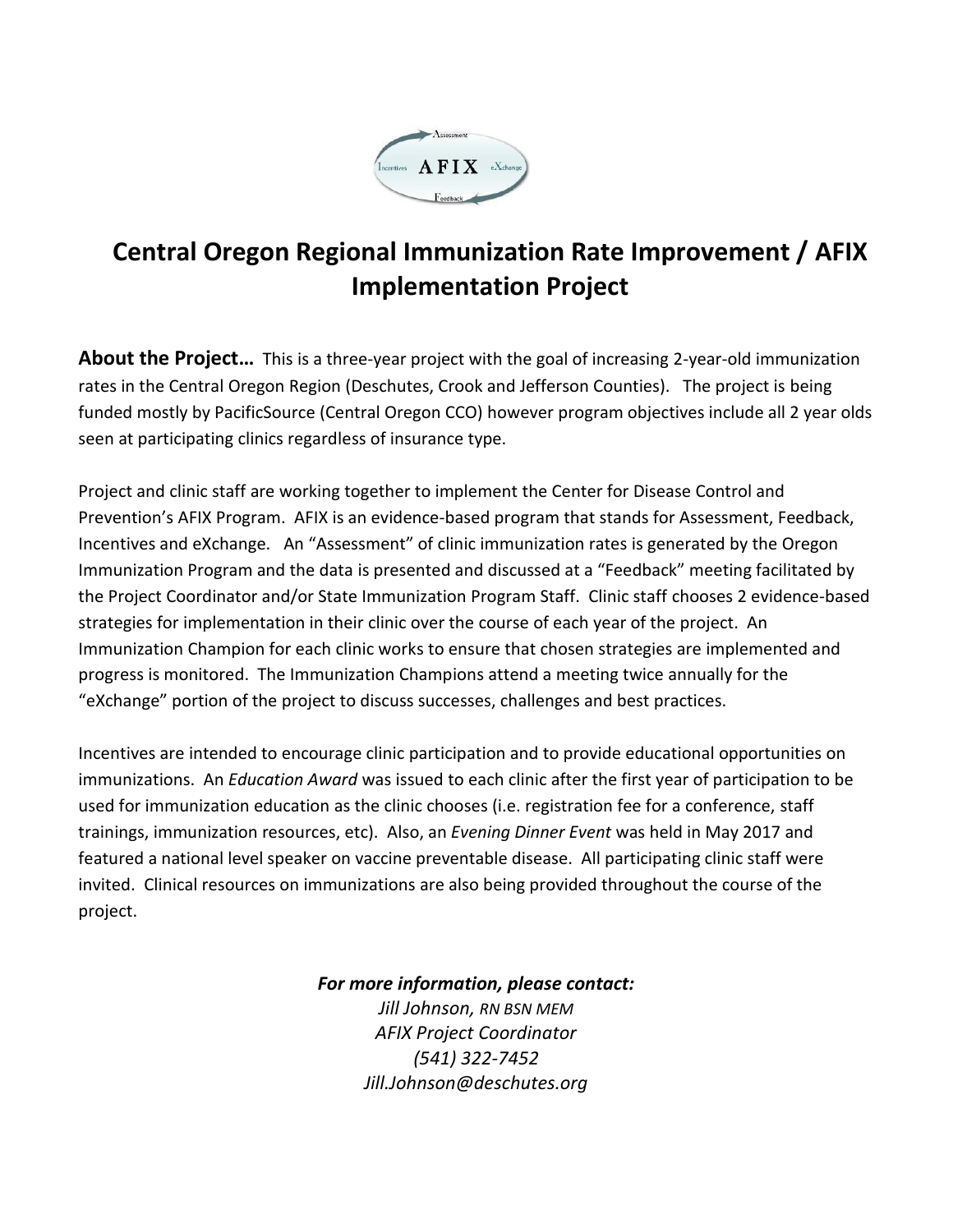

# **Central Oregon Regional Immunization Rate Improvement / AFIX Implementation Project**

**About the Project…** This is a three-year project with the goal of increasing 2-year-old immunization rates in the Central Oregon Region (Deschutes, Crook and Jefferson Counties). The project is being funded mostly by PacificSource (Central Oregon CCO) however program objectives include all 2 year olds seen at participating clinics regardless of insurance type.

Project and clinic staff are working together to implement the Center for Disease Control and Prevention's AFIX Program. AFIX is an evidence-based program that stands for Assessment, Feedback, Incentives and eXchange. An "Assessment" of clinic immunization rates is generated by the Oregon Immunization Program and the data is presented and discussed at a "Feedback" meeting facilitated by the Project Coordinator and/or State Immunization Program Staff. Clinic staff chooses 2 evidence-based strategies for implementation in their clinic over the course of each year of the project. An Immunization Champion for each clinic works to ensure that chosen strategies are implemented and progress is monitored. The Immunization Champions attend a meeting twice annually for the "eXchange" portion of the project to discuss successes, challenges and best practices.

Incentives are intended to encourage clinic participation and to provide educational opportunities on immunizations. An *Education Award* was issued to each clinic after the first year of participation to be used for immunization education as the clinic chooses (i.e. registration fee for a conference, staff trainings, immunization resources, etc). Also, an *Evening Dinner Event* was held in May 2017 and featured a national level speaker on vaccine preventable disease. All participating clinic staff were invited. Clinical resources on immunizations are also being provided throughout the course of the project.

### *For more information, please contact:*

*Jill Johnson, RN BSN MEM AFIX Project Coordinator (541) 322-7452 Jill.Johnson@deschutes.org*